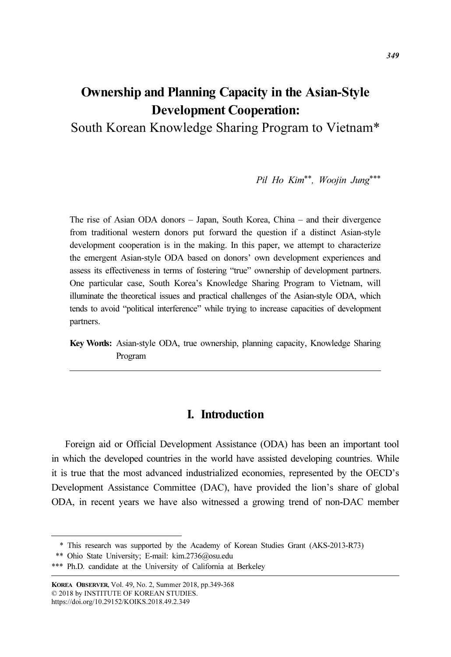# Ownership and Planning Capacity in the Asian-Style Development Cooperation:

South Korean Knowledge Sharing Program to Vietnam\*

Pil Ho Kim\*\*, Woojin Jung\*\*\*

The rise of Asian ODA donors – Japan, South Korea, China – and their divergence from traditional western donors put forward the question if a distinct Asian-style development cooperation is in the making. In this paper, we attempt to characterize the emergent Asian-style ODA based on donors' own development experiences and assess its effectiveness in terms of fostering "true" ownership of development partners. One particular case, South Korea's Knowledge Sharing Program to Vietnam, will illuminate the theoretical issues and practical challenges of the Asian-style ODA, which tends to avoid "political interference" while trying to increase capacities of development partners.

Key Words: Asian-style ODA, true ownership, planning capacity, Knowledge Sharing Program

#### I. Introduction

Foreign aid or Official Development Assistance (ODA) has been an important tool in which the developed countries in the world have assisted developing countries. While it is true that the most advanced industrialized economies, represented by the OECD's Development Assistance Committee (DAC), have provided the lion's share of global ODA, in recent years we have also witnessed a growing trend of non-DAC member

<sup>\*</sup> This research was supported by the Academy of Korean Studies Grant (AKS-2013-R73)

<sup>\*\*</sup> Ohio State University; E-mail: kim.2736@osu.edu

<sup>\*\*\*</sup> Ph.D. candidate at the University of California at Berkeley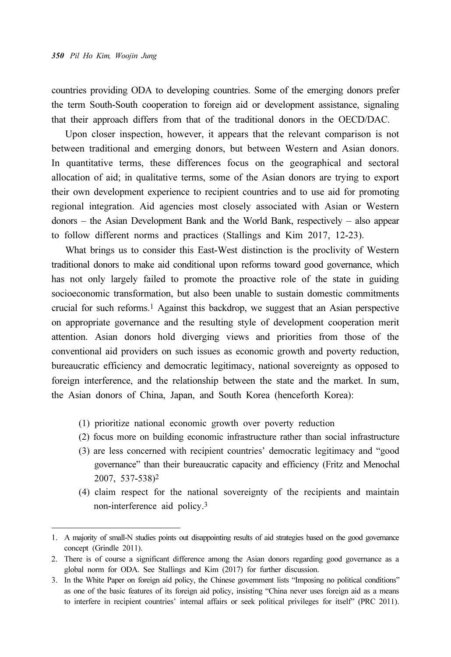countries providing ODA to developing countries. Some of the emerging donors prefer the term South-South cooperation to foreign aid or development assistance, signaling that their approach differs from that of the traditional donors in the OECD/DAC.

Upon closer inspection, however, it appears that the relevant comparison is not between traditional and emerging donors, but between Western and Asian donors. In quantitative terms, these differences focus on the geographical and sectoral allocation of aid; in qualitative terms, some of the Asian donors are trying to export their own development experience to recipient countries and to use aid for promoting regional integration. Aid agencies most closely associated with Asian or Western donors – the Asian Development Bank and the World Bank, respectively – also appear to follow different norms and practices (Stallings and Kim 2017, 12-23).

What brings us to consider this East-West distinction is the proclivity of Western traditional donors to make aid conditional upon reforms toward good governance, which has not only largely failed to promote the proactive role of the state in guiding socioeconomic transformation, but also been unable to sustain domestic commitments crucial for such reforms.1 Against this backdrop, we suggest that an Asian perspective on appropriate governance and the resulting style of development cooperation merit attention. Asian donors hold diverging views and priorities from those of the conventional aid providers on such issues as economic growth and poverty reduction, bureaucratic efficiency and democratic legitimacy, national sovereignty as opposed to foreign interference, and the relationship between the state and the market. In sum, the Asian donors of China, Japan, and South Korea (henceforth Korea):

- (1) prioritize national economic growth over poverty reduction
- (2) focus more on building economic infrastructure rather than social infrastructure
- (3) are less concerned with recipient countries' democratic legitimacy and "good governance" than their bureaucratic capacity and efficiency (Fritz and Menochal 2007, 537-538)<sup>2</sup>
- (4) claim respect for the national sovereignty of the recipients and maintain non-interference aid policy.<sup>3</sup>

<sup>1.</sup> A majority of small-N studies points out disappointing results of aid strategies based on the good governance concept (Grindle 2011).

<sup>2.</sup> There is of course a significant difference among the Asian donors regarding good governance as a global norm for ODA. See Stallings and Kim (2017) for further discussion.

<sup>3.</sup> In the White Paper on foreign aid policy, the Chinese government lists "Imposing no political conditions" as one of the basic features of its foreign aid policy, insisting "China never uses foreign aid as a means to interfere in recipient countries' internal affairs or seek political privileges for itself" (PRC 2011).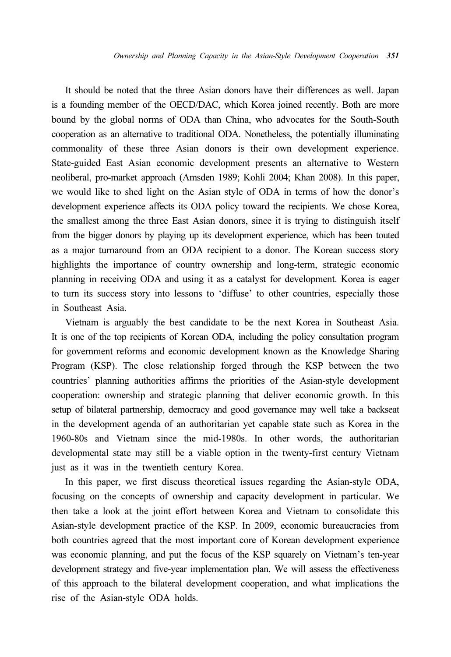It should be noted that the three Asian donors have their differences as well. Japan is a founding member of the OECD/DAC, which Korea joined recently. Both are more bound by the global norms of ODA than China, who advocates for the South-South cooperation as an alternative to traditional ODA. Nonetheless, the potentially illuminating commonality of these three Asian donors is their own development experience. State-guided East Asian economic development presents an alternative to Western neoliberal, pro-market approach (Amsden 1989; Kohli 2004; Khan 2008). In this paper, we would like to shed light on the Asian style of ODA in terms of how the donor's development experience affects its ODA policy toward the recipients. We chose Korea, the smallest among the three East Asian donors, since it is trying to distinguish itself from the bigger donors by playing up its development experience, which has been touted as a major turnaround from an ODA recipient to a donor. The Korean success story highlights the importance of country ownership and long-term, strategic economic planning in receiving ODA and using it as a catalyst for development. Korea is eager to turn its success story into lessons to 'diffuse' to other countries, especially those in Southeast Asia.

Vietnam is arguably the best candidate to be the next Korea in Southeast Asia. It is one of the top recipients of Korean ODA, including the policy consultation program for government reforms and economic development known as the Knowledge Sharing Program (KSP). The close relationship forged through the KSP between the two countries' planning authorities affirms the priorities of the Asian-style development cooperation: ownership and strategic planning that deliver economic growth. In this setup of bilateral partnership, democracy and good governance may well take a backseat in the development agenda of an authoritarian yet capable state such as Korea in the 1960-80s and Vietnam since the mid-1980s. In other words, the authoritarian developmental state may still be a viable option in the twenty-first century Vietnam just as it was in the twentieth century Korea.

In this paper, we first discuss theoretical issues regarding the Asian-style ODA, focusing on the concepts of ownership and capacity development in particular. We then take a look at the joint effort between Korea and Vietnam to consolidate this Asian-style development practice of the KSP. In 2009, economic bureaucracies from both countries agreed that the most important core of Korean development experience was economic planning, and put the focus of the KSP squarely on Vietnam's ten-year development strategy and five-year implementation plan. We will assess the effectiveness of this approach to the bilateral development cooperation, and what implications the rise of the Asian-style ODA holds.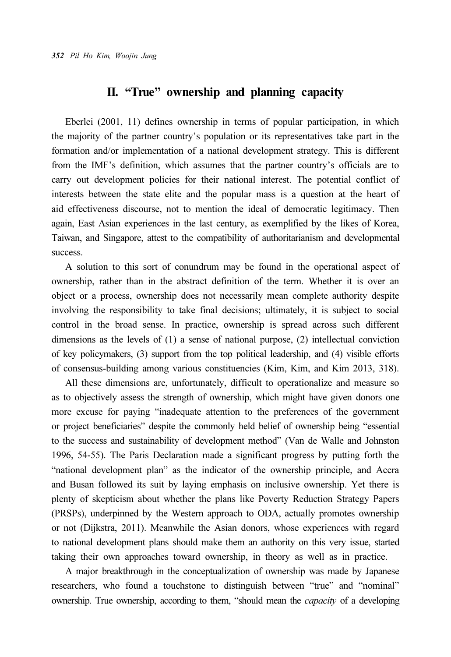### II. "True" ownership and planning capacity

Eberlei (2001, 11) defines ownership in terms of popular participation, in which the majority of the partner country's population or its representatives take part in the formation and/or implementation of a national development strategy. This is different from the IMF's definition, which assumes that the partner country's officials are to carry out development policies for their national interest. The potential conflict of interests between the state elite and the popular mass is a question at the heart of aid effectiveness discourse, not to mention the ideal of democratic legitimacy. Then again, East Asian experiences in the last century, as exemplified by the likes of Korea, Taiwan, and Singapore, attest to the compatibility of authoritarianism and developmental success.

A solution to this sort of conundrum may be found in the operational aspect of ownership, rather than in the abstract definition of the term. Whether it is over an object or a process, ownership does not necessarily mean complete authority despite involving the responsibility to take final decisions; ultimately, it is subject to social control in the broad sense. In practice, ownership is spread across such different dimensions as the levels of (1) a sense of national purpose, (2) intellectual conviction of key policymakers, (3) support from the top political leadership, and (4) visible efforts of consensus-building among various constituencies (Kim, Kim, and Kim 2013, 318).

All these dimensions are, unfortunately, difficult to operationalize and measure so as to objectively assess the strength of ownership, which might have given donors one more excuse for paying "inadequate attention to the preferences of the government or project beneficiaries" despite the commonly held belief of ownership being "essential to the success and sustainability of development method" (Van de Walle and Johnston 1996, 54-55). The Paris Declaration made a significant progress by putting forth the "national development plan" as the indicator of the ownership principle, and Accra and Busan followed its suit by laying emphasis on inclusive ownership. Yet there is plenty of skepticism about whether the plans like Poverty Reduction Strategy Papers (PRSPs), underpinned by the Western approach to ODA, actually promotes ownership or not (Dijkstra, 2011). Meanwhile the Asian donors, whose experiences with regard to national development plans should make them an authority on this very issue, started taking their own approaches toward ownership, in theory as well as in practice.

A major breakthrough in the conceptualization of ownership was made by Japanese researchers, who found a touchstone to distinguish between "true" and "nominal" ownership. True ownership, according to them, "should mean the *capacity* of a developing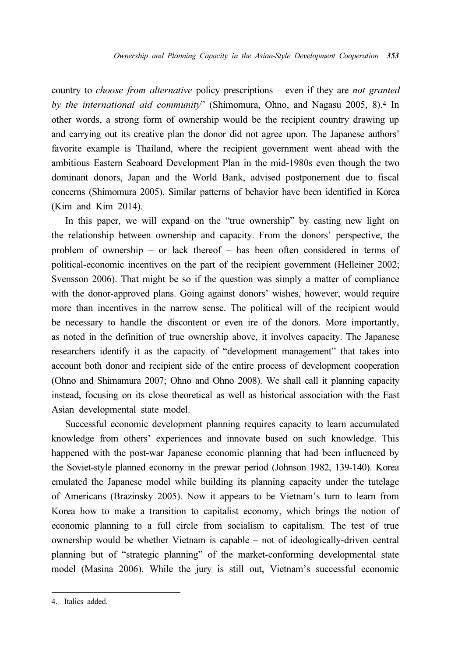country to choose from alternative policy prescriptions – even if they are not granted by the international aid community" (Shimomura, Ohno, and Nagasu 2005, 8).4 In other words, a strong form of ownership would be the recipient country drawing up and carrying out its creative plan the donor did not agree upon. The Japanese authors' favorite example is Thailand, where the recipient government went ahead with the ambitious Eastern Seaboard Development Plan in the mid-1980s even though the two dominant donors, Japan and the World Bank, advised postponement due to fiscal concerns (Shimomura 2005). Similar patterns of behavior have been identified in Korea (Kim and Kim 2014).

In this paper, we will expand on the "true ownership" by casting new light on the relationship between ownership and capacity. From the donors' perspective, the problem of ownership – or lack thereof – has been often considered in terms of political-economic incentives on the part of the recipient government (Helleiner 2002; Svensson 2006). That might be so if the question was simply a matter of compliance with the donor-approved plans. Going against donors' wishes, however, would require more than incentives in the narrow sense. The political will of the recipient would be necessary to handle the discontent or even ire of the donors. More importantly, as noted in the definition of true ownership above, it involves capacity. The Japanese researchers identify it as the capacity of "development management" that takes into account both donor and recipient side of the entire process of development cooperation (Ohno and Shimamura 2007; Ohno and Ohno 2008). We shall call it planning capacity instead, focusing on its close theoretical as well as historical association with the East Asian developmental state model.

Successful economic development planning requires capacity to learn accumulated knowledge from others' experiences and innovate based on such knowledge. This happened with the post-war Japanese economic planning that had been influenced by the Soviet-style planned economy in the prewar period (Johnson 1982, 139-140). Korea emulated the Japanese model while building its planning capacity under the tutelage of Americans (Brazinsky 2005). Now it appears to be Vietnam's turn to learn from Korea how to make a transition to capitalist economy, which brings the notion of economic planning to a full circle from socialism to capitalism. The test of true ownership would be whether Vietnam is capable – not of ideologically-driven central planning but of "strategic planning" of the market-conforming developmental state model (Masina 2006). While the jury is still out, Vietnam's successful economic

<sup>4.</sup> Italics added.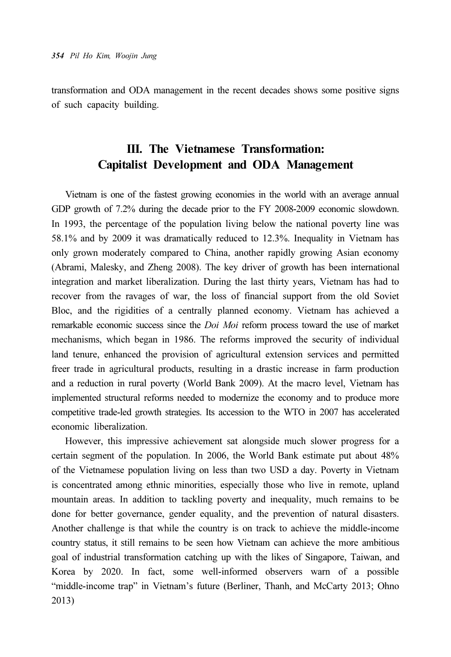transformation and ODA management in the recent decades shows some positive signs of such capacity building.

## III. The Vietnamese Transformation: Capitalist Development and ODA Management

Vietnam is one of the fastest growing economies in the world with an average annual GDP growth of 7.2% during the decade prior to the FY 2008-2009 economic slowdown. In 1993, the percentage of the population living below the national poverty line was 58.1% and by 2009 it was dramatically reduced to 12.3%. Inequality in Vietnam has only grown moderately compared to China, another rapidly growing Asian economy (Abrami, Malesky, and Zheng 2008). The key driver of growth has been international integration and market liberalization. During the last thirty years, Vietnam has had to recover from the ravages of war, the loss of financial support from the old Soviet Bloc, and the rigidities of a centrally planned economy. Vietnam has achieved a remarkable economic success since the Doi Moi reform process toward the use of market mechanisms, which began in 1986. The reforms improved the security of individual land tenure, enhanced the provision of agricultural extension services and permitted freer trade in agricultural products, resulting in a drastic increase in farm production and a reduction in rural poverty (World Bank 2009). At the macro level, Vietnam has implemented structural reforms needed to modernize the economy and to produce more competitive trade-led growth strategies. Its accession to the WTO in 2007 has accelerated economic liberalization.

However, this impressive achievement sat alongside much slower progress for a certain segment of the population. In 2006, the World Bank estimate put about 48% of the Vietnamese population living on less than two USD a day. Poverty in Vietnam is concentrated among ethnic minorities, especially those who live in remote, upland mountain areas. In addition to tackling poverty and inequality, much remains to be done for better governance, gender equality, and the prevention of natural disasters. Another challenge is that while the country is on track to achieve the middle-income country status, it still remains to be seen how Vietnam can achieve the more ambitious goal of industrial transformation catching up with the likes of Singapore, Taiwan, and Korea by 2020. In fact, some well-informed observers warn of a possible "middle-income trap" in Vietnam's future (Berliner, Thanh, and McCarty 2013; Ohno 2013)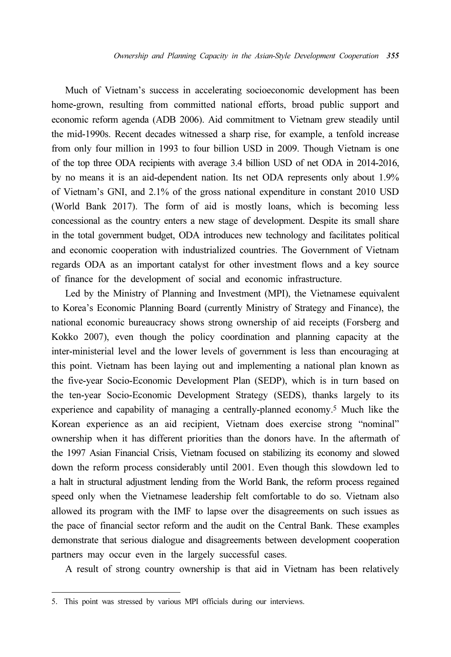Much of Vietnam's success in accelerating socioeconomic development has been home-grown, resulting from committed national efforts, broad public support and economic reform agenda (ADB 2006). Aid commitment to Vietnam grew steadily until the mid-1990s. Recent decades witnessed a sharp rise, for example, a tenfold increase from only four million in 1993 to four billion USD in 2009. Though Vietnam is one of the top three ODA recipients with average 3.4 billion USD of net ODA in 2014-2016, by no means it is an aid-dependent nation. Its net ODA represents only about 1.9% of Vietnam's GNI, and 2.1% of the gross national expenditure in constant 2010 USD (World Bank 2017). The form of aid is mostly loans, which is becoming less concessional as the country enters a new stage of development. Despite its small share in the total government budget, ODA introduces new technology and facilitates political and economic cooperation with industrialized countries. The Government of Vietnam regards ODA as an important catalyst for other investment flows and a key source of finance for the development of social and economic infrastructure.

Led by the Ministry of Planning and Investment (MPI), the Vietnamese equivalent to Korea's Economic Planning Board (currently Ministry of Strategy and Finance), the national economic bureaucracy shows strong ownership of aid receipts (Forsberg and Kokko 2007), even though the policy coordination and planning capacity at the inter-ministerial level and the lower levels of government is less than encouraging at this point. Vietnam has been laying out and implementing a national plan known as the five-year Socio-Economic Development Plan (SEDP), which is in turn based on the ten-year Socio-Economic Development Strategy (SEDS), thanks largely to its experience and capability of managing a centrally-planned economy.5 Much like the Korean experience as an aid recipient, Vietnam does exercise strong "nominal" ownership when it has different priorities than the donors have. In the aftermath of the 1997 Asian Financial Crisis, Vietnam focused on stabilizing its economy and slowed down the reform process considerably until 2001. Even though this slowdown led to a halt in structural adjustment lending from the World Bank, the reform process regained speed only when the Vietnamese leadership felt comfortable to do so. Vietnam also allowed its program with the IMF to lapse over the disagreements on such issues as the pace of financial sector reform and the audit on the Central Bank. These examples demonstrate that serious dialogue and disagreements between development cooperation partners may occur even in the largely successful cases.

A result of strong country ownership is that aid in Vietnam has been relatively

<sup>5.</sup> This point was stressed by various MPI officials during our interviews.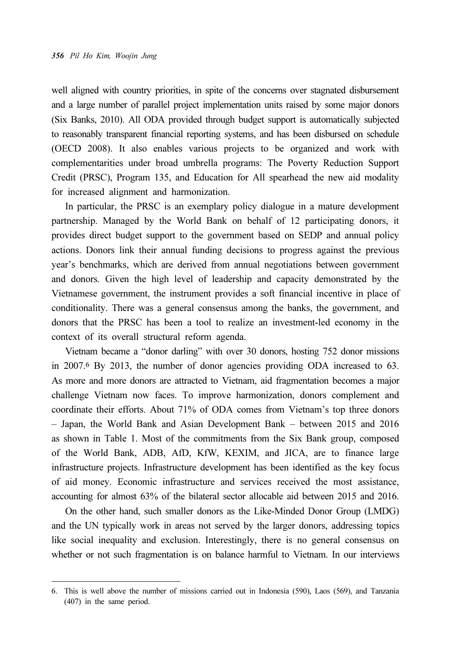well aligned with country priorities, in spite of the concerns over stagnated disbursement and a large number of parallel project implementation units raised by some major donors (Six Banks, 2010). All ODA provided through budget support is automatically subjected to reasonably transparent financial reporting systems, and has been disbursed on schedule (OECD 2008). It also enables various projects to be organized and work with complementarities under broad umbrella programs: The Poverty Reduction Support Credit (PRSC), Program 135, and Education for All spearhead the new aid modality for increased alignment and harmonization.

In particular, the PRSC is an exemplary policy dialogue in a mature development partnership. Managed by the World Bank on behalf of 12 participating donors, it provides direct budget support to the government based on SEDP and annual policy actions. Donors link their annual funding decisions to progress against the previous year's benchmarks, which are derived from annual negotiations between government and donors. Given the high level of leadership and capacity demonstrated by the Vietnamese government, the instrument provides a soft financial incentive in place of conditionality. There was a general consensus among the banks, the government, and donors that the PRSC has been a tool to realize an investment-led economy in the context of its overall structural reform agenda.

Vietnam became a "donor darling" with over 30 donors, hosting 752 donor missions in 2007.6 By 2013, the number of donor agencies providing ODA increased to 63. As more and more donors are attracted to Vietnam, aid fragmentation becomes a major challenge Vietnam now faces. To improve harmonization, donors complement and coordinate their efforts. About 71% of ODA comes from Vietnam's top three donors – Japan, the World Bank and Asian Development Bank – between 2015 and 2016 as shown in Table 1. Most of the commitments from the Six Bank group, composed of the World Bank, ADB, AfD, KfW, KEXIM, and JICA, are to finance large infrastructure projects. Infrastructure development has been identified as the key focus of aid money. Economic infrastructure and services received the most assistance, accounting for almost 63% of the bilateral sector allocable aid between 2015 and 2016.

On the other hand, such smaller donors as the Like-Minded Donor Group (LMDG) and the UN typically work in areas not served by the larger donors, addressing topics like social inequality and exclusion. Interestingly, there is no general consensus on whether or not such fragmentation is on balance harmful to Vietnam. In our interviews

<sup>6.</sup> This is well above the number of missions carried out in Indonesia (590), Laos (569), and Tanzania (407) in the same period.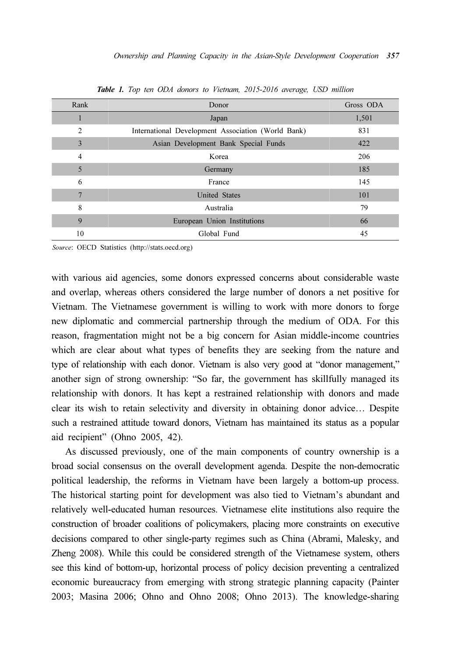| Rank           | Donor                                              | Gross ODA |
|----------------|----------------------------------------------------|-----------|
|                | Japan                                              | 1,501     |
| $\mathfrak{D}$ | International Development Association (World Bank) | 831       |
| $\overline{3}$ | Asian Development Bank Special Funds               | 422       |
| 4              | Korea                                              | 206       |
| 5              | Germany                                            | 185       |
| 6              | France                                             | 145       |
| 7              | <b>United States</b>                               | 101       |
| 8              | Australia                                          | 79        |
| 9              | European Union Institutions                        | 66        |
| 10             | Global Fund                                        | 45        |

Table 1. Top ten ODA donors to Vietnam, 2015-2016 average, USD million

Source: OECD Statistics (http://stats.oecd.org)

with various aid agencies, some donors expressed concerns about considerable waste and overlap, whereas others considered the large number of donors a net positive for Vietnam. The Vietnamese government is willing to work with more donors to forge new diplomatic and commercial partnership through the medium of ODA. For this reason, fragmentation might not be a big concern for Asian middle-income countries which are clear about what types of benefits they are seeking from the nature and type of relationship with each donor. Vietnam is also very good at "donor management," another sign of strong ownership: "So far, the government has skillfully managed its relationship with donors. It has kept a restrained relationship with donors and made clear its wish to retain selectivity and diversity in obtaining donor advice… Despite such a restrained attitude toward donors, Vietnam has maintained its status as a popular aid recipient" (Ohno 2005, 42).

As discussed previously, one of the main components of country ownership is a broad social consensus on the overall development agenda. Despite the non-democratic political leadership, the reforms in Vietnam have been largely a bottom-up process. The historical starting point for development was also tied to Vietnam's abundant and relatively well-educated human resources. Vietnamese elite institutions also require the construction of broader coalitions of policymakers, placing more constraints on executive decisions compared to other single-party regimes such as China (Abrami, Malesky, and Zheng 2008). While this could be considered strength of the Vietnamese system, others see this kind of bottom-up, horizontal process of policy decision preventing a centralized economic bureaucracy from emerging with strong strategic planning capacity (Painter 2003; Masina 2006; Ohno and Ohno 2008; Ohno 2013). The knowledge-sharing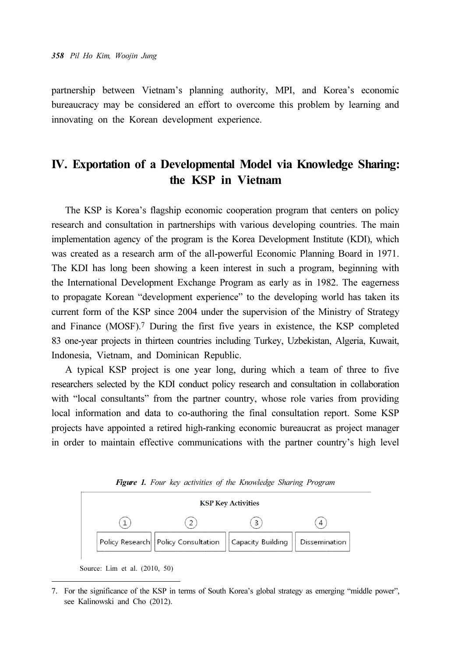partnership between Vietnam's planning authority, MPI, and Korea's economic bureaucracy may be considered an effort to overcome this problem by learning and innovating on the Korean development experience.

### IV. Exportation of a Developmental Model via Knowledge Sharing: the KSP in Vietnam

The KSP is Korea's flagship economic cooperation program that centers on policy research and consultation in partnerships with various developing countries. The main implementation agency of the program is the Korea Development Institute (KDI), which was created as a research arm of the all-powerful Economic Planning Board in 1971. The KDI has long been showing a keen interest in such a program, beginning with the International Development Exchange Program as early as in 1982. The eagerness to propagate Korean "development experience" to the developing world has taken its current form of the KSP since 2004 under the supervision of the Ministry of Strategy and Finance (MOSF).7 During the first five years in existence, the KSP completed 83 one-year projects in thirteen countries including Turkey, Uzbekistan, Algeria, Kuwait, Indonesia, Vietnam, and Dominican Republic.

A typical KSP project is one year long, during which a team of three to five researchers selected by the KDI conduct policy research and consultation in collaboration with "local consultants" from the partner country, whose role varies from providing local information and data to co-authoring the final consultation report. Some KSP projects have appointed a retired high-ranking economic bureaucrat as project manager in order to maintain effective communications with the partner country's high level



Figure 1. Four key activities of the Knowledge Sharing Program

Source: Lim et al. (2010, 50)

<sup>7.</sup> For the significance of the KSP in terms of South Korea's global strategy as emerging "middle power", see Kalinowski and Cho (2012).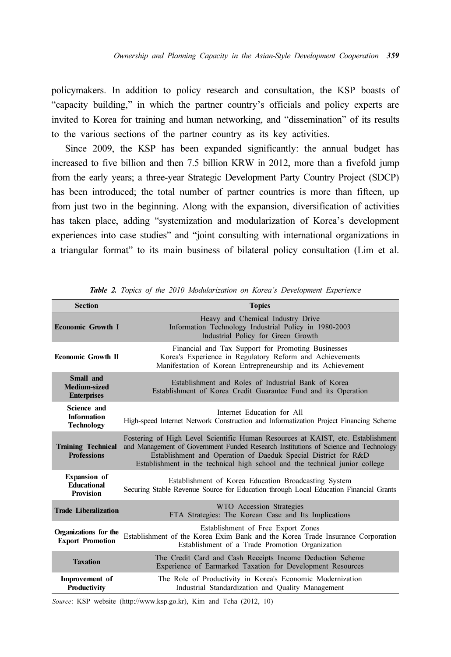policymakers. In addition to policy research and consultation, the KSP boasts of "capacity building," in which the partner country's officials and policy experts are invited to Korea for training and human networking, and "dissemination" of its results to the various sections of the partner country as its key activities.

Since 2009, the KSP has been expanded significantly: the annual budget has increased to five billion and then 7.5 billion KRW in 2012, more than a fivefold jump from the early years; a three-year Strategic Development Party Country Project (SDCP) has been introduced; the total number of partner countries is more than fifteen, up from just two in the beginning. Along with the expansion, diversification of activities has taken place, adding "systemization and modularization of Korea's development experiences into case studies" and "joint consulting with international organizations in a triangular format" to its main business of bilateral policy consultation (Lim et al.

| <b>Section</b>                                                | <b>Topics</b>                                                                                                                                                                                                                                                                                                           |  |
|---------------------------------------------------------------|-------------------------------------------------------------------------------------------------------------------------------------------------------------------------------------------------------------------------------------------------------------------------------------------------------------------------|--|
| <b>Economic Growth I</b>                                      | Heavy and Chemical Industry Drive<br>Information Technology Industrial Policy in 1980-2003<br>Industrial Policy for Green Growth                                                                                                                                                                                        |  |
| <b>Economic Growth II</b>                                     | Financial and Tax Support for Promoting Businesses<br>Korea's Experience in Regulatory Reform and Achievements<br>Manifestation of Korean Entrepreneurship and its Achievement                                                                                                                                          |  |
| Small and<br><b>Medium-sized</b><br><b>Enterprises</b>        | Establishment and Roles of Industrial Bank of Korea<br>Establishment of Korea Credit Guarantee Fund and its Operation                                                                                                                                                                                                   |  |
| Science and<br><b>Information</b><br>Technology               | Internet Education for All<br>High-speed Internet Network Construction and Informatization Project Financing Scheme                                                                                                                                                                                                     |  |
| <b>Training Technical</b><br><b>Professions</b>               | Fostering of High Level Scientific Human Resources at KAIST, etc. Establishment<br>and Management of Government Funded Research Institutions of Science and Technology<br>Establishment and Operation of Daeduk Special District for R&D<br>Establishment in the technical high school and the technical junior college |  |
| <b>Expansion</b> of<br><b>Educational</b><br><b>Provision</b> | Establishment of Korea Education Broadcasting System<br>Securing Stable Revenue Source for Education through Local Education Financial Grants                                                                                                                                                                           |  |
| <b>Trade Liberalization</b>                                   | WTO Accession Strategies<br>FTA Strategies: The Korean Case and Its Implications                                                                                                                                                                                                                                        |  |
| Organizations for the<br><b>Export Promotion</b>              | Establishment of Free Export Zones<br>Establishment of the Korea Exim Bank and the Korea Trade Insurance Corporation<br>Establishment of a Trade Promotion Organization                                                                                                                                                 |  |
| <b>Taxation</b>                                               | The Credit Card and Cash Receipts Income Deduction Scheme<br>Experience of Earmarked Taxation for Development Resources                                                                                                                                                                                                 |  |
| Improvement of<br>Productivity                                | The Role of Productivity in Korea's Economic Modernization<br>Industrial Standardization and Quality Management                                                                                                                                                                                                         |  |

Table 2. Topics of the 2010 Modularization on Korea's Development Experience

Source: KSP website (http://www.ksp.go.kr), Kim and Tcha (2012, 10)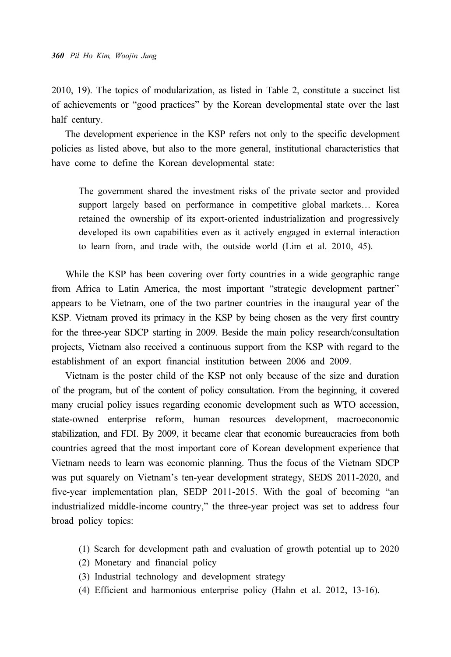2010, 19). The topics of modularization, as listed in Table 2, constitute a succinct list of achievements or "good practices" by the Korean developmental state over the last half century.

The development experience in the KSP refers not only to the specific development policies as listed above, but also to the more general, institutional characteristics that have come to define the Korean developmental state:

The government shared the investment risks of the private sector and provided support largely based on performance in competitive global markets… Korea retained the ownership of its export-oriented industrialization and progressively developed its own capabilities even as it actively engaged in external interaction to learn from, and trade with, the outside world (Lim et al. 2010, 45).

While the KSP has been covering over forty countries in a wide geographic range from Africa to Latin America, the most important "strategic development partner" appears to be Vietnam, one of the two partner countries in the inaugural year of the KSP. Vietnam proved its primacy in the KSP by being chosen as the very first country for the three-year SDCP starting in 2009. Beside the main policy research/consultation projects, Vietnam also received a continuous support from the KSP with regard to the establishment of an export financial institution between 2006 and 2009.

Vietnam is the poster child of the KSP not only because of the size and duration of the program, but of the content of policy consultation. From the beginning, it covered many crucial policy issues regarding economic development such as WTO accession, state-owned enterprise reform, human resources development, macroeconomic stabilization, and FDI. By 2009, it became clear that economic bureaucracies from both countries agreed that the most important core of Korean development experience that Vietnam needs to learn was economic planning. Thus the focus of the Vietnam SDCP was put squarely on Vietnam's ten-year development strategy, SEDS 2011-2020, and five-year implementation plan, SEDP 2011-2015. With the goal of becoming "an industrialized middle-income country," the three-year project was set to address four broad policy topics:

- (1) Search for development path and evaluation of growth potential up to 2020
- (2) Monetary and financial policy
- (3) Industrial technology and development strategy
- (4) Efficient and harmonious enterprise policy (Hahn et al. 2012, 13-16).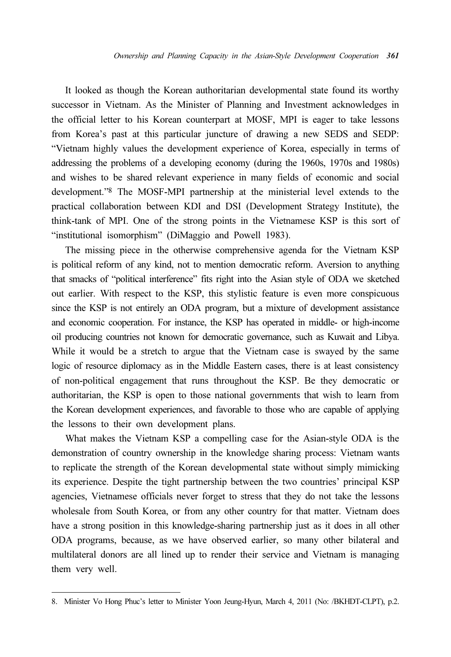It looked as though the Korean authoritarian developmental state found its worthy successor in Vietnam. As the Minister of Planning and Investment acknowledges in the official letter to his Korean counterpart at MOSF, MPI is eager to take lessons from Korea's past at this particular juncture of drawing a new SEDS and SEDP: "Vietnam highly values the development experience of Korea, especially in terms of addressing the problems of a developing economy (during the 1960s, 1970s and 1980s) and wishes to be shared relevant experience in many fields of economic and social development."8 The MOSF-MPI partnership at the ministerial level extends to the practical collaboration between KDI and DSI (Development Strategy Institute), the think-tank of MPI. One of the strong points in the Vietnamese KSP is this sort of "institutional isomorphism" (DiMaggio and Powell 1983).

The missing piece in the otherwise comprehensive agenda for the Vietnam KSP is political reform of any kind, not to mention democratic reform. Aversion to anything that smacks of "political interference" fits right into the Asian style of ODA we sketched out earlier. With respect to the KSP, this stylistic feature is even more conspicuous since the KSP is not entirely an ODA program, but a mixture of development assistance and economic cooperation. For instance, the KSP has operated in middle- or high-income oil producing countries not known for democratic governance, such as Kuwait and Libya. While it would be a stretch to argue that the Vietnam case is swayed by the same logic of resource diplomacy as in the Middle Eastern cases, there is at least consistency of non-political engagement that runs throughout the KSP. Be they democratic or authoritarian, the KSP is open to those national governments that wish to learn from the Korean development experiences, and favorable to those who are capable of applying the lessons to their own development plans.

What makes the Vietnam KSP a compelling case for the Asian-style ODA is the demonstration of country ownership in the knowledge sharing process: Vietnam wants to replicate the strength of the Korean developmental state without simply mimicking its experience. Despite the tight partnership between the two countries' principal KSP agencies, Vietnamese officials never forget to stress that they do not take the lessons wholesale from South Korea, or from any other country for that matter. Vietnam does have a strong position in this knowledge-sharing partnership just as it does in all other ODA programs, because, as we have observed earlier, so many other bilateral and multilateral donors are all lined up to render their service and Vietnam is managing them very well.

<sup>8.</sup> Minister Vo Hong Phuc's letter to Minister Yoon Jeung-Hyun, March 4, 2011 (No: /BKHDT-CLPT), p.2.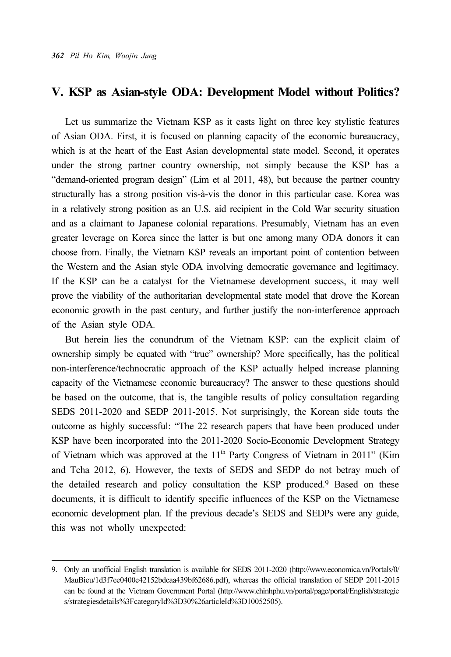### V. KSP as Asian-style ODA: Development Model without Politics?

Let us summarize the Vietnam KSP as it casts light on three key stylistic features of Asian ODA. First, it is focused on planning capacity of the economic bureaucracy, which is at the heart of the East Asian developmental state model. Second, it operates under the strong partner country ownership, not simply because the KSP has a "demand-oriented program design" (Lim et al 2011, 48), but because the partner country structurally has a strong position vis-à-vis the donor in this particular case. Korea was in a relatively strong position as an U.S. aid recipient in the Cold War security situation and as a claimant to Japanese colonial reparations. Presumably, Vietnam has an even greater leverage on Korea since the latter is but one among many ODA donors it can choose from. Finally, the Vietnam KSP reveals an important point of contention between the Western and the Asian style ODA involving democratic governance and legitimacy. If the KSP can be a catalyst for the Vietnamese development success, it may well prove the viability of the authoritarian developmental state model that drove the Korean economic growth in the past century, and further justify the non-interference approach of the Asian style ODA.

But herein lies the conundrum of the Vietnam KSP: can the explicit claim of ownership simply be equated with "true" ownership? More specifically, has the political non-interference/technocratic approach of the KSP actually helped increase planning capacity of the Vietnamese economic bureaucracy? The answer to these questions should be based on the outcome, that is, the tangible results of policy consultation regarding SEDS 2011-2020 and SEDP 2011-2015. Not surprisingly, the Korean side touts the outcome as highly successful: "The 22 research papers that have been produced under KSP have been incorporated into the 2011-2020 Socio-Economic Development Strategy of Vietnam which was approved at the  $11<sup>th</sup>$  Party Congress of Vietnam in 2011" (Kim and Tcha 2012, 6). However, the texts of SEDS and SEDP do not betray much of the detailed research and policy consultation the KSP produced.9 Based on these documents, it is difficult to identify specific influences of the KSP on the Vietnamese economic development plan. If the previous decade's SEDS and SEDPs were any guide, this was not wholly unexpected:

<sup>9.</sup> Only an unofficial English translation is available for SEDS 2011-2020 (http://www.economica.vn/Portals/0/ MauBieu/1d3f7ee0400e42152bdcaa439bf62686.pdf), whereas the official translation of SEDP 2011-2015 can be found at the Vietnam Government Portal (http://www.chinhphu.vn/portal/page/portal/English/strategie s/strategiesdetails%3FcategoryId%3D30%26articleId%3D10052505).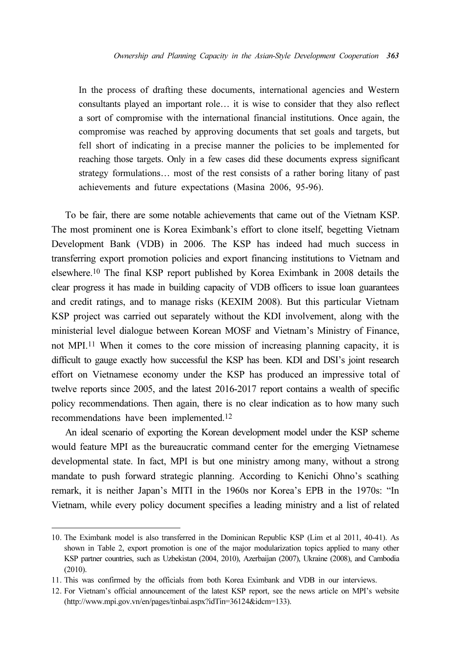In the process of drafting these documents, international agencies and Western consultants played an important role… it is wise to consider that they also reflect a sort of compromise with the international financial institutions. Once again, the compromise was reached by approving documents that set goals and targets, but fell short of indicating in a precise manner the policies to be implemented for reaching those targets. Only in a few cases did these documents express significant strategy formulations… most of the rest consists of a rather boring litany of past achievements and future expectations (Masina 2006, 95-96).

To be fair, there are some notable achievements that came out of the Vietnam KSP. The most prominent one is Korea Eximbank's effort to clone itself, begetting Vietnam Development Bank (VDB) in 2006. The KSP has indeed had much success in transferring export promotion policies and export financing institutions to Vietnam and elsewhere.10 The final KSP report published by Korea Eximbank in 2008 details the clear progress it has made in building capacity of VDB officers to issue loan guarantees and credit ratings, and to manage risks (KEXIM 2008). But this particular Vietnam KSP project was carried out separately without the KDI involvement, along with the ministerial level dialogue between Korean MOSF and Vietnam's Ministry of Finance, not MPI.11 When it comes to the core mission of increasing planning capacity, it is difficult to gauge exactly how successful the KSP has been. KDI and DSI's joint research effort on Vietnamese economy under the KSP has produced an impressive total of twelve reports since 2005, and the latest 2016-2017 report contains a wealth of specific policy recommendations. Then again, there is no clear indication as to how many such recommendations have been implemented.<sup>12</sup>

An ideal scenario of exporting the Korean development model under the KSP scheme would feature MPI as the bureaucratic command center for the emerging Vietnamese developmental state. In fact, MPI is but one ministry among many, without a strong mandate to push forward strategic planning. According to Kenichi Ohno's scathing remark, it is neither Japan's MITI in the 1960s nor Korea's EPB in the 1970s: "In Vietnam, while every policy document specifies a leading ministry and a list of related

<sup>10.</sup> The Eximbank model is also transferred in the Dominican Republic KSP (Lim et al 2011, 40-41). As shown in Table 2, export promotion is one of the major modularization topics applied to many other KSP partner countries, such as Uzbekistan (2004, 2010), Azerbaijan (2007), Ukraine (2008), and Cambodia (2010).

<sup>11.</sup> This was confirmed by the officials from both Korea Eximbank and VDB in our interviews.

<sup>12.</sup> For Vietnam's official announcement of the latest KSP report, see the news article on MPI's website (http://www.mpi.gov.vn/en/pages/tinbai.aspx?idTin=36124&idcm=133).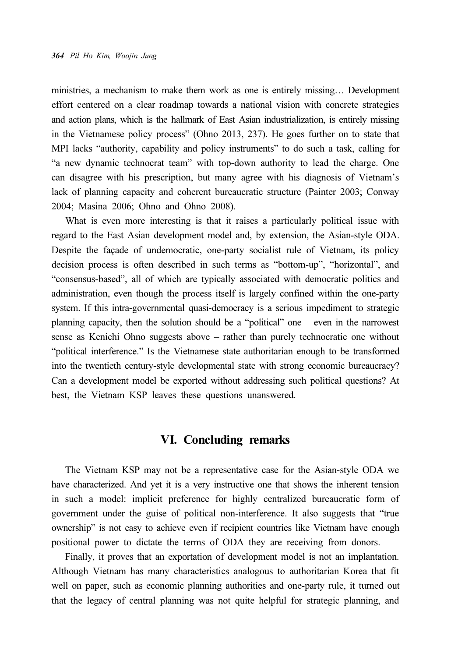ministries, a mechanism to make them work as one is entirely missing… Development effort centered on a clear roadmap towards a national vision with concrete strategies and action plans, which is the hallmark of East Asian industrialization, is entirely missing in the Vietnamese policy process" (Ohno 2013, 237). He goes further on to state that MPI lacks "authority, capability and policy instruments" to do such a task, calling for "a new dynamic technocrat team" with top-down authority to lead the charge. One can disagree with his prescription, but many agree with his diagnosis of Vietnam's lack of planning capacity and coherent bureaucratic structure (Painter 2003; Conway 2004; Masina 2006; Ohno and Ohno 2008).

What is even more interesting is that it raises a particularly political issue with regard to the East Asian development model and, by extension, the Asian-style ODA. Despite the façade of undemocratic, one-party socialist rule of Vietnam, its policy decision process is often described in such terms as "bottom-up", "horizontal", and "consensus-based", all of which are typically associated with democratic politics and administration, even though the process itself is largely confined within the one-party system. If this intra-governmental quasi-democracy is a serious impediment to strategic planning capacity, then the solution should be a "political" one – even in the narrowest sense as Kenichi Ohno suggests above – rather than purely technocratic one without "political interference." Is the Vietnamese state authoritarian enough to be transformed into the twentieth century-style developmental state with strong economic bureaucracy? Can a development model be exported without addressing such political questions? At best, the Vietnam KSP leaves these questions unanswered.

### VI. Concluding remarks

The Vietnam KSP may not be a representative case for the Asian-style ODA we have characterized. And yet it is a very instructive one that shows the inherent tension in such a model: implicit preference for highly centralized bureaucratic form of government under the guise of political non-interference. It also suggests that "true ownership" is not easy to achieve even if recipient countries like Vietnam have enough positional power to dictate the terms of ODA they are receiving from donors.

Finally, it proves that an exportation of development model is not an implantation. Although Vietnam has many characteristics analogous to authoritarian Korea that fit well on paper, such as economic planning authorities and one-party rule, it turned out that the legacy of central planning was not quite helpful for strategic planning, and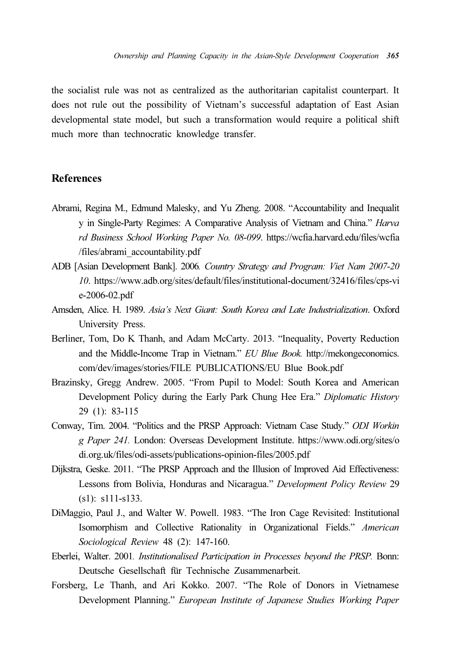the socialist rule was not as centralized as the authoritarian capitalist counterpart. It does not rule out the possibility of Vietnam's successful adaptation of East Asian developmental state model, but such a transformation would require a political shift much more than technocratic knowledge transfer.

#### References

- Abrami, Regina M., Edmund Malesky, and Yu Zheng. 2008. "Accountability and Inequalit y in Single-Party Regimes: A Comparative Analysis of Vietnam and China." Harva rd Business School Working Paper No. 08-099. https://wcfia.harvard.edu/files/wcfia /files/abrami\_accountability.pdf
- ADB [Asian Development Bank]. 2006. Country Strategy and Program: Viet Nam 2007-20 10. https://www.adb.org/sites/default/files/institutional-document/32416/files/cps-vi e-2006-02.pdf
- Amsden, Alice. H. 1989. Asia's Next Giant: South Korea and Late Industrialization. Oxford University Press.
- Berliner, Tom, Do K Thanh, and Adam McCarty. 2013. "Inequality, Poverty Reduction and the Middle-Income Trap in Vietnam." EU Blue Book. http://mekongeconomics. com/dev/images/stories/FILE PUBLICATIONS/EU Blue Book.pdf
- Brazinsky, Gregg Andrew. 2005. "From Pupil to Model: South Korea and American Development Policy during the Early Park Chung Hee Era." Diplomatic History 29 (1): 83-115
- Conway, Tim. 2004. "Politics and the PRSP Approach: Vietnam Case Study." ODI Workin g Paper 241. London: Overseas Development Institute. https://www.odi.org/sites/o di.org.uk/files/odi-assets/publications-opinion-files/2005.pdf
- Dijkstra, Geske. 2011. "The PRSP Approach and the Illusion of Improved Aid Effectiveness: Lessons from Bolivia, Honduras and Nicaragua." Development Policy Review 29 (s1): s111-s133.
- DiMaggio, Paul J., and Walter W. Powell. 1983. "The Iron Cage Revisited: Institutional Isomorphism and Collective Rationality in Organizational Fields." American Sociological Review 48 (2): 147-160.
- Eberlei, Walter. 2001. Institutionalised Participation in Processes beyond the PRSP. Bonn: Deutsche Gesellschaft für Technische Zusammenarbeit.
- Forsberg, Le Thanh, and Ari Kokko. 2007. "The Role of Donors in Vietnamese Development Planning." European Institute of Japanese Studies Working Paper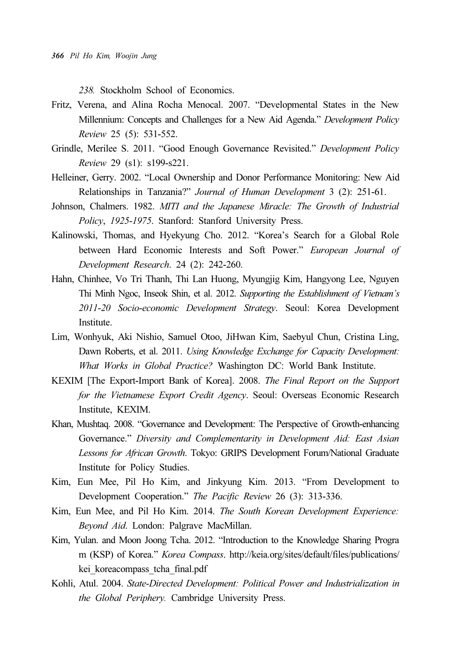238. Stockholm School of Economics.

- Fritz, Verena, and Alina Rocha Menocal. 2007. "Developmental States in the New Millennium: Concepts and Challenges for a New Aid Agenda." Development Policy Review 25 (5): 531-552.
- Grindle, Merilee S. 2011. "Good Enough Governance Revisited." Development Policy Review 29 (s1): s199-s221.
- Helleiner, Gerry. 2002. "Local Ownership and Donor Performance Monitoring: New Aid Relationships in Tanzania?" Journal of Human Development 3 (2): 251-61.
- Johnson, Chalmers. 1982. MITI and the Japanese Miracle: The Growth of Industrial Policy, 1925-1975. Stanford: Stanford University Press.
- Kalinowski, Thomas, and Hyekyung Cho. 2012. "Korea's Search for a Global Role between Hard Economic Interests and Soft Power." European Journal of Development Research. 24 (2): 242-260.
- Hahn, Chinhee, Vo Tri Thanh, Thi Lan Huong, Myungjig Kim, Hangyong Lee, Nguyen Thi Minh Ngoc, Inseok Shin, et al. 2012. Supporting the Establishment of Vietnam's 2011-20 Socio-economic Development Strategy. Seoul: Korea Development Institute.
- Lim, Wonhyuk, Aki Nishio, Samuel Otoo, JiHwan Kim, Saebyul Chun, Cristina Ling, Dawn Roberts, et al. 2011. Using Knowledge Exchange for Capacity Development: What Works in Global Practice? Washington DC: World Bank Institute.
- KEXIM [The Export-Import Bank of Korea]. 2008. The Final Report on the Support for the Vietnamese Export Credit Agency. Seoul: Overseas Economic Research Institute, KEXIM.
- Khan, Mushtaq. 2008. "Governance and Development: The Perspective of Growth-enhancing Governance." Diversity and Complementarity in Development Aid: East Asian Lessons for African Growth. Tokyo: GRIPS Development Forum/National Graduate Institute for Policy Studies.
- Kim, Eun Mee, Pil Ho Kim, and Jinkyung Kim. 2013. "From Development to Development Cooperation." The Pacific Review 26 (3): 313-336.
- Kim, Eun Mee, and Pil Ho Kim. 2014. The South Korean Development Experience: Beyond Aid. London: Palgrave MacMillan.
- Kim, Yulan. and Moon Joong Tcha. 2012. "Introduction to the Knowledge Sharing Progra m (KSP) of Korea." Korea Compass. http://keia.org/sites/default/files/publications/ kei koreacompass tcha final.pdf
- Kohli, Atul. 2004. State-Directed Development: Political Power and Industrialization in the Global Periphery. Cambridge University Press.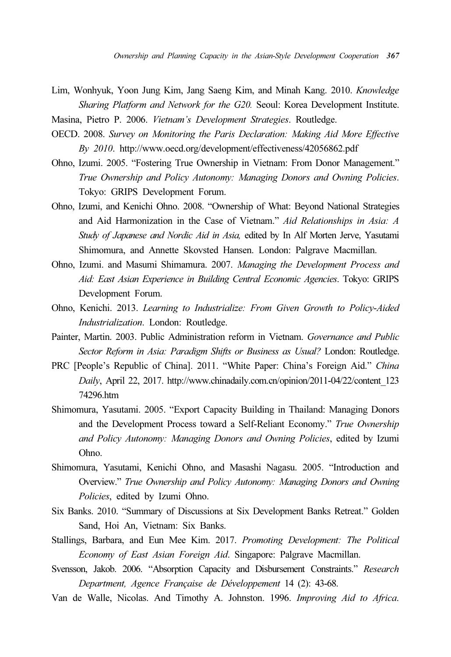- Lim, Wonhyuk, Yoon Jung Kim, Jang Saeng Kim, and Minah Kang. 2010. Knowledge Sharing Platform and Network for the G20. Seoul: Korea Development Institute.
- Masina, Pietro P. 2006. Vietnam's Development Strategies. Routledge.
- OECD. 2008. Survey on Monitoring the Paris Declaration: Making Aid More Effective By 2010. http://www.oecd.org/development/effectiveness/42056862.pdf
- Ohno, Izumi. 2005. "Fostering True Ownership in Vietnam: From Donor Management." True Ownership and Policy Autonomy: Managing Donors and Owning Policies. Tokyo: GRIPS Development Forum.
- Ohno, Izumi, and Kenichi Ohno. 2008. "Ownership of What: Beyond National Strategies and Aid Harmonization in the Case of Vietnam." Aid Relationships in Asia: A Study of Japanese and Nordic Aid in Asia, edited by In Alf Morten Jerve, Yasutami Shimomura, and Annette Skovsted Hansen. London: Palgrave Macmillan.
- Ohno, Izumi. and Masumi Shimamura. 2007. Managing the Development Process and Aid: East Asian Experience in Building Central Economic Agencies. Tokyo: GRIPS Development Forum.
- Ohno, Kenichi. 2013. Learning to Industrialize: From Given Growth to Policy-Aided Industrialization. London: Routledge.
- Painter, Martin. 2003. Public Administration reform in Vietnam. Governance and Public Sector Reform in Asia: Paradigm Shifts or Business as Usual? London: Routledge.
- PRC [People's Republic of China]. 2011. "White Paper: China's Foreign Aid." China Daily, April 22, 2017. http://www.chinadaily.com.cn/opinion/2011-04/22/content\_123 74296.htm
- Shimomura, Yasutami. 2005. "Export Capacity Building in Thailand: Managing Donors and the Development Process toward a Self-Reliant Economy." True Ownership and Policy Autonomy: Managing Donors and Owning Policies, edited by Izumi Ohno.
- Shimomura, Yasutami, Kenichi Ohno, and Masashi Nagasu. 2005. "Introduction and Overview." True Ownership and Policy Autonomy: Managing Donors and Owning Policies, edited by Izumi Ohno.
- Six Banks. 2010. "Summary of Discussions at Six Development Banks Retreat." Golden Sand, Hoi An, Vietnam: Six Banks.
- Stallings, Barbara, and Eun Mee Kim. 2017. Promoting Development: The Political Economy of East Asian Foreign Aid. Singapore: Palgrave Macmillan.
- Svensson, Jakob. 2006. "Absorption Capacity and Disbursement Constraints." Research Department, Agence Française de Développement 14 (2): 43-68.
- Van de Walle, Nicolas. And Timothy A. Johnston. 1996. Improving Aid to Africa.